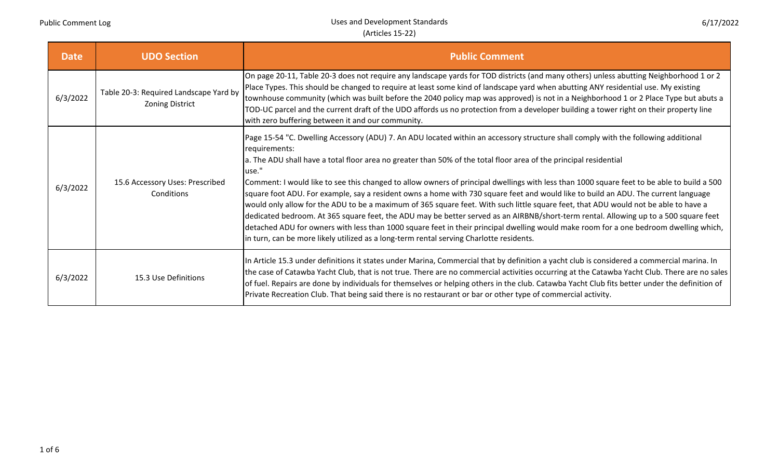| <b>Date</b> | <b>UDO Section</b>                                               | <b>Public Comment</b>                                                                                                                                                                                                                                                                                                                                                                                                                                                                                                                                                                                                                                                                                                                                                                                                                                                                                                                                                                                                                                                                     |
|-------------|------------------------------------------------------------------|-------------------------------------------------------------------------------------------------------------------------------------------------------------------------------------------------------------------------------------------------------------------------------------------------------------------------------------------------------------------------------------------------------------------------------------------------------------------------------------------------------------------------------------------------------------------------------------------------------------------------------------------------------------------------------------------------------------------------------------------------------------------------------------------------------------------------------------------------------------------------------------------------------------------------------------------------------------------------------------------------------------------------------------------------------------------------------------------|
| 6/3/2022    | Table 20-3: Required Landscape Yard by<br><b>Zoning District</b> | On page 20-11, Table 20-3 does not require any landscape yards for TOD districts (and many others) unless abutting Neighborhood 1 or 2<br>Place Types. This should be changed to require at least some kind of landscape yard when abutting ANY residential use. My existing<br>townhouse community (which was built before the 2040 policy map was approved) is not in a Neighborhood 1 or 2 Place Type but abuts a<br>TOD-UC parcel and the current draft of the UDO affords us no protection from a developer building a tower right on their property line<br>with zero buffering between it and our community.                                                                                                                                                                                                                                                                                                                                                                                                                                                                       |
| 6/3/2022    | 15.6 Accessory Uses: Prescribed<br>Conditions                    | Page 15-54 "C. Dwelling Accessory (ADU) 7. An ADU located within an accessory structure shall comply with the following additional<br>requirements:<br>a. The ADU shall have a total floor area no greater than 50% of the total floor area of the principal residential<br>luse."<br>Comment: I would like to see this changed to allow owners of principal dwellings with less than 1000 square feet to be able to build a 500<br>square foot ADU. For example, say a resident owns a home with 730 square feet and would like to build an ADU. The current language<br>would only allow for the ADU to be a maximum of 365 square feet. With such little square feet, that ADU would not be able to have a<br>dedicated bedroom. At 365 square feet, the ADU may be better served as an AIRBNB/short-term rental. Allowing up to a 500 square feet<br>detached ADU for owners with less than 1000 square feet in their principal dwelling would make room for a one bedroom dwelling which,<br>in turn, can be more likely utilized as a long-term rental serving Charlotte residents. |
| 6/3/2022    | 15.3 Use Definitions                                             | In Article 15.3 under definitions it states under Marina, Commercial that by definition a yacht club is considered a commercial marina. In<br>the case of Catawba Yacht Club, that is not true. There are no commercial activities occurring at the Catawba Yacht Club. There are no sales<br>of fuel. Repairs are done by individuals for themselves or helping others in the club. Catawba Yacht Club fits better under the definition of<br>Private Recreation Club. That being said there is no restaurant or bar or other type of commercial activity.                                                                                                                                                                                                                                                                                                                                                                                                                                                                                                                               |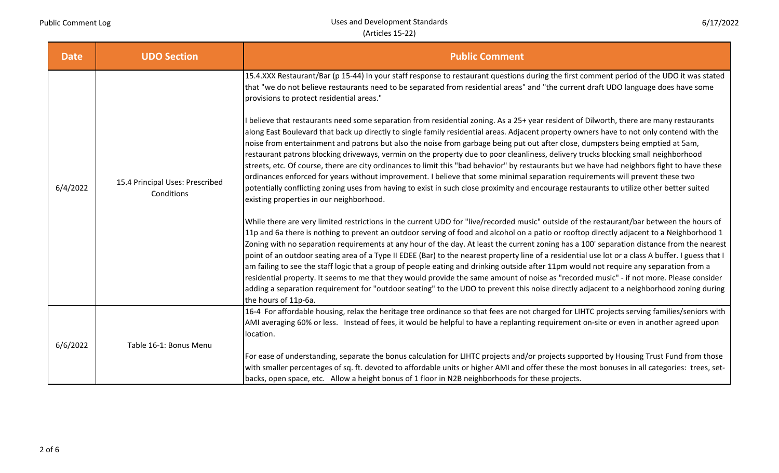| <b>Date</b> | <b>UDO Section</b>                            | <b>Public Comment</b>                                                                                                                                                                                                                                                                                                                                                                                                                                                                                                                                                                                                                                                                                                                                                                                                                                                                                                                                                                                                                                                                                                                                                                                                                                                                                                                                                                                                                                                                                                                                                                                                                                                                                                                                                                                                                                                                                                                                                                                                                                                                                                                                                                                                                                                                                                                                                                                                           |
|-------------|-----------------------------------------------|---------------------------------------------------------------------------------------------------------------------------------------------------------------------------------------------------------------------------------------------------------------------------------------------------------------------------------------------------------------------------------------------------------------------------------------------------------------------------------------------------------------------------------------------------------------------------------------------------------------------------------------------------------------------------------------------------------------------------------------------------------------------------------------------------------------------------------------------------------------------------------------------------------------------------------------------------------------------------------------------------------------------------------------------------------------------------------------------------------------------------------------------------------------------------------------------------------------------------------------------------------------------------------------------------------------------------------------------------------------------------------------------------------------------------------------------------------------------------------------------------------------------------------------------------------------------------------------------------------------------------------------------------------------------------------------------------------------------------------------------------------------------------------------------------------------------------------------------------------------------------------------------------------------------------------------------------------------------------------------------------------------------------------------------------------------------------------------------------------------------------------------------------------------------------------------------------------------------------------------------------------------------------------------------------------------------------------------------------------------------------------------------------------------------------------|
| 6/4/2022    | 15.4 Principal Uses: Prescribed<br>Conditions | 15.4.XXX Restaurant/Bar (p 15-44) In your staff response to restaurant questions during the first comment period of the UDO it was stated<br>that "we do not believe restaurants need to be separated from residential areas" and "the current draft UDO language does have some<br>provisions to protect residential areas."<br>believe that restaurants need some separation from residential zoning. As a 25+ year resident of Dilworth, there are many restaurants<br>along East Boulevard that back up directly to single family residential areas. Adjacent property owners have to not only contend with the<br>noise from entertainment and patrons but also the noise from garbage being put out after close, dumpsters being emptied at 5am,<br>restaurant patrons blocking driveways, vermin on the property due to poor cleanliness, delivery trucks blocking small neighborhood<br>streets, etc. Of course, there are city ordinances to limit this "bad behavior" by restaurants but we have had neighbors fight to have these<br>ordinances enforced for years without improvement. I believe that some minimal separation requirements will prevent these two<br>potentially conflicting zoning uses from having to exist in such close proximity and encourage restaurants to utilize other better suited<br>existing properties in our neighborhood.<br>While there are very limited restrictions in the current UDO for "live/recorded music" outside of the restaurant/bar between the hours of<br>11p and 6a there is nothing to prevent an outdoor serving of food and alcohol on a patio or rooftop directly adjacent to a Neighborhood 1<br>Zoning with no separation requirements at any hour of the day. At least the current zoning has a 100' separation distance from the nearest<br>point of an outdoor seating area of a Type II EDEE (Bar) to the nearest property line of a residential use lot or a class A buffer. I guess that I<br>am failing to see the staff logic that a group of people eating and drinking outside after 11pm would not require any separation from a<br>residential property. It seems to me that they would provide the same amount of noise as "recorded music" - if not more. Please consider<br>adding a separation requirement for "outdoor seating" to the UDO to prevent this noise directly adjacent to a neighborhood zoning during<br>the hours of 11p-6a. |
| 6/6/2022    |                                               | 16-4 For affordable housing, relax the heritage tree ordinance so that fees are not charged for LIHTC projects serving families/seniors with<br>AMI averaging 60% or less. Instead of fees, it would be helpful to have a replanting requirement on-site or even in another agreed upon                                                                                                                                                                                                                                                                                                                                                                                                                                                                                                                                                                                                                                                                                                                                                                                                                                                                                                                                                                                                                                                                                                                                                                                                                                                                                                                                                                                                                                                                                                                                                                                                                                                                                                                                                                                                                                                                                                                                                                                                                                                                                                                                         |
|             | Table 16-1: Bonus Menu                        | location.                                                                                                                                                                                                                                                                                                                                                                                                                                                                                                                                                                                                                                                                                                                                                                                                                                                                                                                                                                                                                                                                                                                                                                                                                                                                                                                                                                                                                                                                                                                                                                                                                                                                                                                                                                                                                                                                                                                                                                                                                                                                                                                                                                                                                                                                                                                                                                                                                       |
|             |                                               | For ease of understanding, separate the bonus calculation for LIHTC projects and/or projects supported by Housing Trust Fund from those<br>with smaller percentages of sq. ft. devoted to affordable units or higher AMI and offer these the most bonuses in all categories: trees, set-<br>backs, open space, etc. Allow a height bonus of 1 floor in N2B neighborhoods for these projects.                                                                                                                                                                                                                                                                                                                                                                                                                                                                                                                                                                                                                                                                                                                                                                                                                                                                                                                                                                                                                                                                                                                                                                                                                                                                                                                                                                                                                                                                                                                                                                                                                                                                                                                                                                                                                                                                                                                                                                                                                                    |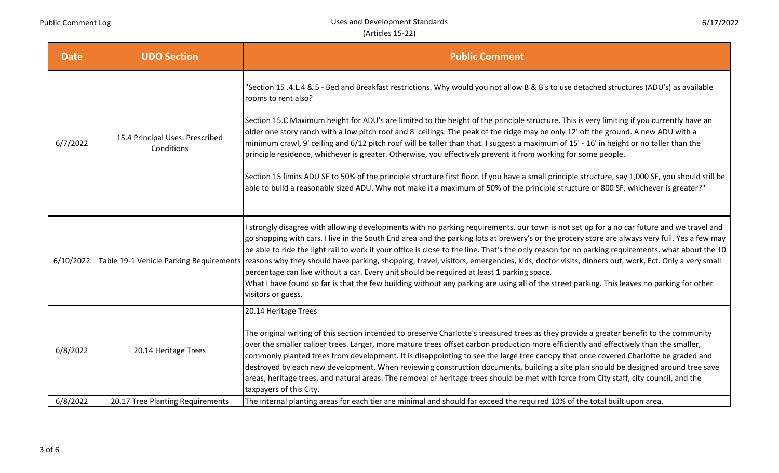| <b>Date</b> | <b>UDO Section</b>                            | <b>Public Comment</b>                                                                                                                                                                                                                                                                                                                                                                                                                                                                                                                                                                                                                                                                                                                                                                                                                                                                                                                                                                                           |
|-------------|-----------------------------------------------|-----------------------------------------------------------------------------------------------------------------------------------------------------------------------------------------------------------------------------------------------------------------------------------------------------------------------------------------------------------------------------------------------------------------------------------------------------------------------------------------------------------------------------------------------------------------------------------------------------------------------------------------------------------------------------------------------------------------------------------------------------------------------------------------------------------------------------------------------------------------------------------------------------------------------------------------------------------------------------------------------------------------|
| 6/7/2022    | 15.4 Principal Uses: Prescribed<br>Conditions | "Section 15 .4.L.4 & 5 - Bed and Breakfast restrictions. Why would you not allow B & B's to use detached structures (ADU's) as available<br>rooms to rent also?<br>Section 15.C Maximum height for ADU's are limited to the height of the principle structure. This is very limiting if you currently have an<br>older one story ranch with a low pitch roof and 8' ceilings. The peak of the ridge may be only 12' off the ground. A new ADU with a<br>minimum crawl, 9' ceiling and 6/12 pitch roof will be taller than that. I suggest a maximum of 15' - 16' in height or no taller than the<br>principle residence, whichever is greater. Otherwise, you effectively prevent it from working for some people.<br>Section 15 limits ADU SF to 50% of the principle structure first floor. If you have a small principle structure, say 1,000 SF, you should still be<br>able to build a reasonably sized ADU. Why not make it a maximum of 50% of the principle structure or 800 SF, whichever is greater?" |
| 6/10/2022   |                                               | I strongly disagree with allowing developments with no parking requirements. our town is not set up for a no car future and we travel and<br>go shopping with cars. I live in the South End area and the parking lots at brewery's or the grocery store are always very full. Yes a few may<br>be able to ride the light rail to work if your office is close to the line. That's the only reason for no parking requirements. what about the 10<br>Table 19-1 Vehicle Parking Requirements reasons why they should have parking, shopping, travel, visitors, emergencies, kids, doctor visits, dinners out, work, Ect. Only a very small<br>percentage can live without a car. Every unit should be required at least 1 parking space.<br>What I have found so far is that the few building without any parking are using all of the street parking. This leaves no parking for other<br>visitors or guess.                                                                                                    |
| 6/8/2022    | 20.14 Heritage Trees                          | 20.14 Heritage Trees<br>The original writing of this section intended to preserve Charlotte's treasured trees as they provide a greater benefit to the community<br>over the smaller caliper trees. Larger, more mature trees offset carbon production more efficiently and effectively than the smaller,<br>commonly planted trees from development. It is disappointing to see the large tree canopy that once covered Charlotte be graded and<br>destroyed by each new development. When reviewing construction documents, building a site plan should be designed around tree save<br>areas, heritage trees, and natural areas. The removal of heritage trees should be met with force from City staff, city council, and the<br>taxpayers of this City.                                                                                                                                                                                                                                                    |
| 6/8/2022    | 20.17 Tree Planting Requirements              | The internal planting areas for each tier are minimal and should far exceed the required 10% of the total built upon area.                                                                                                                                                                                                                                                                                                                                                                                                                                                                                                                                                                                                                                                                                                                                                                                                                                                                                      |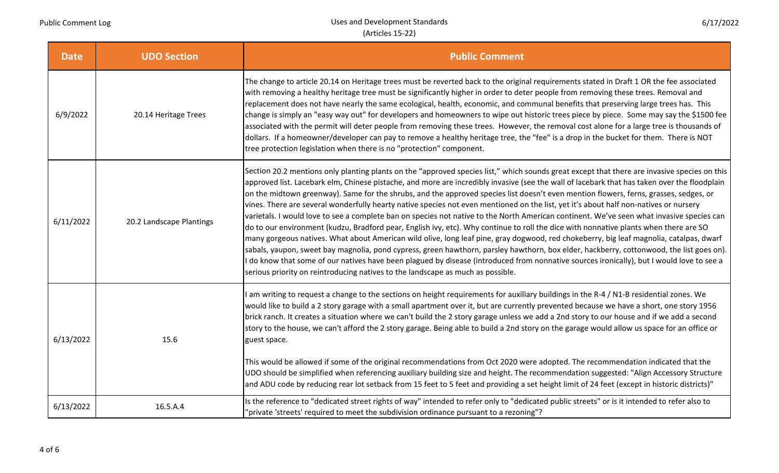Uses and Development Standards (Articles 15‐22)

6/17/2022

| <b>Date</b> | <b>UDO Section</b>       | <b>Public Comment</b>                                                                                                                                                                                                                                                                                                                                                                                                                                                                                                                                                                                                                                                                                                                                                                                                                                                                                                                                                                                                                                                                                                                                                                                                                                                                                                                                                                     |
|-------------|--------------------------|-------------------------------------------------------------------------------------------------------------------------------------------------------------------------------------------------------------------------------------------------------------------------------------------------------------------------------------------------------------------------------------------------------------------------------------------------------------------------------------------------------------------------------------------------------------------------------------------------------------------------------------------------------------------------------------------------------------------------------------------------------------------------------------------------------------------------------------------------------------------------------------------------------------------------------------------------------------------------------------------------------------------------------------------------------------------------------------------------------------------------------------------------------------------------------------------------------------------------------------------------------------------------------------------------------------------------------------------------------------------------------------------|
| 6/9/2022    | 20.14 Heritage Trees     | The change to article 20.14 on Heritage trees must be reverted back to the original requirements stated in Draft 1 OR the fee associated<br>with removing a healthy heritage tree must be significantly higher in order to deter people from removing these trees. Removal and<br>replacement does not have nearly the same ecological, health, economic, and communal benefits that preserving large trees has. This<br>change is simply an "easy way out" for developers and homeowners to wipe out historic trees piece by piece. Some may say the \$1500 fee<br>associated with the permit will deter people from removing these trees. However, the removal cost alone for a large tree is thousands of<br>dollars. If a homeowner/developer can pay to remove a healthy heritage tree, the "fee" is a drop in the bucket for them. There is NOT<br>tree protection legislation when there is no "protection" component.                                                                                                                                                                                                                                                                                                                                                                                                                                                             |
| 6/11/2022   | 20.2 Landscape Plantings | Section 20.2 mentions only planting plants on the "approved species list," which sounds great except that there are invasive species on this<br>approved list. Lacebark elm, Chinese pistache, and more are incredibly invasive (see the wall of lacebark that has taken over the floodplain<br>on the midtown greenway). Same for the shrubs, and the approved species list doesn't even mention flowers, ferns, grasses, sedges, or<br>vines. There are several wonderfully hearty native species not even mentioned on the list, yet it's about half non-natives or nursery<br>varietals. I would love to see a complete ban on species not native to the North American continent. We've seen what invasive species can<br>do to our environment (kudzu, Bradford pear, English ivy, etc). Why continue to roll the dice with nonnative plants when there are SO<br>many gorgeous natives. What about American wild olive, long leaf pine, gray dogwood, red chokeberry, big leaf magnolia, catalpas, dwarf<br>sabals, yaupon, sweet bay magnolia, pond cypress, green hawthorn, parsley hawthorn, box elder, hackberry, cottonwood, the list goes on).<br>do know that some of our natives have been plagued by disease (introduced from nonnative sources ironically), but I would love to see a<br>serious priority on reintroducing natives to the landscape as much as possible. |
| 6/13/2022   | 15.6                     | am writing to request a change to the sections on height requirements for auxiliary buildings in the R-4 / N1-B residential zones. We<br>would like to build a 2 story garage with a small apartment over it, but are currently prevented because we have a short, one story 1956<br>brick ranch. It creates a situation where we can't build the 2 story garage unless we add a 2nd story to our house and if we add a second<br>story to the house, we can't afford the 2 story garage. Being able to build a 2nd story on the garage would allow us space for an office or<br>guest space.<br>This would be allowed if some of the original recommendations from Oct 2020 were adopted. The recommendation indicated that the<br>UDO should be simplified when referencing auxiliary building size and height. The recommendation suggested: "Align Accessory Structure<br>and ADU code by reducing rear lot setback from 15 feet to 5 feet and providing a set height limit of 24 feet (except in historic districts)"                                                                                                                                                                                                                                                                                                                                                                |
| 6/13/2022   | 16.5.A.4                 | Is the reference to "dedicated street rights of way" intended to refer only to "dedicated public streets" or is it intended to refer also to<br>"private 'streets' required to meet the subdivision ordinance pursuant to a rezoning"?                                                                                                                                                                                                                                                                                                                                                                                                                                                                                                                                                                                                                                                                                                                                                                                                                                                                                                                                                                                                                                                                                                                                                    |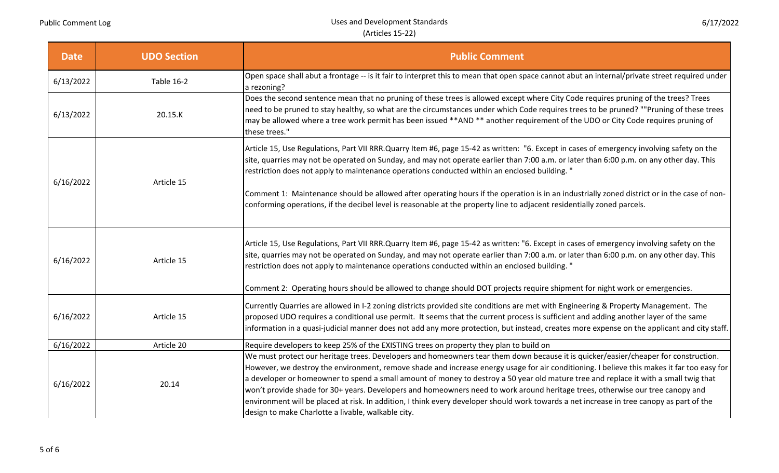| <b>Date</b> | <b>UDO Section</b> | <b>Public Comment</b>                                                                                                                                                                                                                                                                                                                                                                                                                                                                                                                                                                                                                                                                                                                                          |
|-------------|--------------------|----------------------------------------------------------------------------------------------------------------------------------------------------------------------------------------------------------------------------------------------------------------------------------------------------------------------------------------------------------------------------------------------------------------------------------------------------------------------------------------------------------------------------------------------------------------------------------------------------------------------------------------------------------------------------------------------------------------------------------------------------------------|
| 6/13/2022   | <b>Table 16-2</b>  | Open space shall abut a frontage -- is it fair to interpret this to mean that open space cannot abut an internal/private street required under<br>a rezoning?                                                                                                                                                                                                                                                                                                                                                                                                                                                                                                                                                                                                  |
| 6/13/2022   | 20.15.K            | Does the second sentence mean that no pruning of these trees is allowed except where City Code requires pruning of the trees? Trees<br>need to be pruned to stay healthy, so what are the circumstances under which Code requires trees to be pruned? ""Pruning of these trees<br>may be allowed where a tree work permit has been issued **AND ** another requirement of the UDO or City Code requires pruning of<br>these trees."                                                                                                                                                                                                                                                                                                                            |
| 6/16/2022   | Article 15         | Article 15, Use Regulations, Part VII RRR.Quarry Item #6, page 15-42 as written: "6. Except in cases of emergency involving safety on the<br>site, quarries may not be operated on Sunday, and may not operate earlier than 7:00 a.m. or later than 6:00 p.m. on any other day. This<br>restriction does not apply to maintenance operations conducted within an enclosed building. "<br>Comment 1: Maintenance should be allowed after operating hours if the operation is in an industrially zoned district or in the case of non-<br>conforming operations, if the decibel level is reasonable at the property line to adjacent residentially zoned parcels.                                                                                                |
| 6/16/2022   | Article 15         | Article 15, Use Regulations, Part VII RRR. Quarry Item #6, page 15-42 as written: "6. Except in cases of emergency involving safety on the<br>site, quarries may not be operated on Sunday, and may not operate earlier than 7:00 a.m. or later than 6:00 p.m. on any other day. This<br>restriction does not apply to maintenance operations conducted within an enclosed building. "<br>Comment 2: Operating hours should be allowed to change should DOT projects require shipment for night work or emergencies.                                                                                                                                                                                                                                           |
| 6/16/2022   | Article 15         | Currently Quarries are allowed in I-2 zoning districts provided site conditions are met with Engineering & Property Management. The<br>proposed UDO requires a conditional use permit. It seems that the current process is sufficient and adding another layer of the same<br>information in a quasi-judicial manner does not add any more protection, but instead, creates more expense on the applicant and city staff.                                                                                                                                                                                                                                                                                                                                     |
| 6/16/2022   | Article 20         | Require developers to keep 25% of the EXISTING trees on property they plan to build on                                                                                                                                                                                                                                                                                                                                                                                                                                                                                                                                                                                                                                                                         |
| 6/16/2022   | 20.14              | We must protect our heritage trees. Developers and homeowners tear them down because it is quicker/easier/cheaper for construction.<br>However, we destroy the environment, remove shade and increase energy usage for air conditioning. I believe this makes it far too easy for<br>a developer or homeowner to spend a small amount of money to destroy a 50 year old mature tree and replace it with a small twig that<br>won't provide shade for 30+ years. Developers and homeowners need to work around heritage trees, otherwise our tree canopy and<br>environment will be placed at risk. In addition, I think every developer should work towards a net increase in tree canopy as part of the<br>design to make Charlotte a livable, walkable city. |